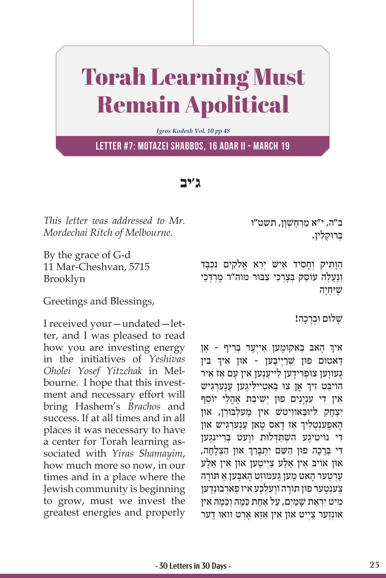## Torah Learning Must Remain Apolitical

*Igros Kodesh Vol. 10 pp 48*

**Letter #7: Motazei Shabbos, 16 Adar II - March 19**

**ג'יב**

*This letter was addressed to Mr. Mordechai Ritch of Melbourne.* 

By the grace of G-d 11 Mar-Cheshvan, 5715 Brooklyn

Greetings and Blessings,

I received your—undated—letter, and I was pleased to read how you are investing energy in the initiatives of *Yeshivas Oholei Yosef Yitzchak* in Melbourne. I hope that this investment and necessary effort will bring Hashem's *Brachos* and success. If at all times and in all places it was necessary to have a center for Torah learning associated with *Yiras Shamayim*, how much more so now, in our times and in a place where the Jewish community is beginning to grow, must we invest the greatest energies and properly ב"ה, י"א מַרְחֱשָׁוַן, תשט"ו ַבְּרוּקלין.

הַוְּתִיק וְחָסִיד אִישׁ יְרֵא אֱלֹקִים נִכְבַּד וְנַעֲלָה עוֹסֵק בְּצַרְכֵי צִבּוּר מוה״ר מַרְדְכַי שִׁיּחיה

שלוֹם וּבְרָכָה!

֧֧֧֧֦֧֢ׅ֖֖֖֧֚֚֚֚֝֝֬<u>֚</u> אַיךְ הָאבּ בַּאקוּמֶען אַייִעֶר בְּרִיף - אָן ְדַאטום פון שְׁרַיְיכָּען - און איך בִּין ָגעווען צוּפְרִידַען לֵייעֲנֵען אין עַם אַז אִיר ֧֧֖֖֖֖֖֖֖֧֧֚֚֚֚֚֚֚֚֝֝֬֝֓֕֓<u>֓</u> הוֹיבְט זִיךְ אָן צוּ בַּאטֵיילִיגֶען עֶנֶעַרְגִישׁ אִין דִי עִנְיָנִים פוּן יִשִׁיבַת אָהֶלֵי יוֹסֵף יצָחק ליוּבּאוויטשׁ אין מֵעלִבּוּרָן, אוּן ֧֧֧֧֦֧֢ׅ֖֖֖֧֚֚֚֚֝֝֬<u>֚</u> ָהָאפֶעוּטְלִיךְ אַז דָאס טָאן עֶנֶעַרְגִישׁ און די נוֹיטיגֵע השׁתּדִלוּת ווַעט בַרֵיינגֵען ְָדִי בְּרָכָה פוּן הַשֵּׁם יִתְבָּרֵךְ אוּן הַצְלָחָה, און אויב אין אַלע צ*ְיִיטֱען און אין א*ַלע ַעֲרְטֵעַר הַאט מֵעַן גֵעמוּזְט הַאבֵּעַן אַ תּוֹרַה ֶצ ְענֶט ּ ער פו ּ ן ת ָוֹ ר ֶה וו ְעלֶכ ִע א ַ יז פ ְאר ּב ּוְנֶדען מיט יִרְאת שַׁמִים, על אחת כּמַה וְכִמַּה אין אוּנְזֵער צַיִיט אוּן אִין אַזא אַרט וואוּ דער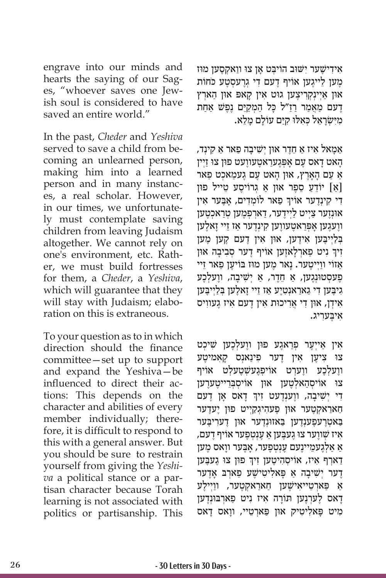engrave into our minds and hearts the saying of our Sages, "whoever saves one Jewish soul is considered to have saved an entire world."

In the past, *Cheder* and *Yeshiva*  served to save a child from becoming an unlearned person, making him into a learned person and in many instances, a real scholar. However, in our times, we unfortunately must contemplate saving children from leaving Judaism altogether. We cannot rely on one's environment, etc. Rather, we must build fortresses for them, a *Cheder*, a *Yeshiva*, which will guarantee that they will stay with Judaism; elaboration on this is extraneous.

To your question as to in which direction should the finance committee—set up to support and expand the Yeshiva—be influenced to direct their actions: This depends on the character and abilities of every member individually; therefore, it is difficult to respond to this with a general answer. But you should be sure to restrain yourself from giving the *Yeshiva* a political stance or a partisan character because Torah learning is not associated with politics or partisanship. This

אידישֵׁער יִשׁוּב הוֹיבִט אַן צו ווַאקְסֻען מוז מען לייגען אוֹיף דעם די גרעסטע כֹחוֹת און אַיִינְקְרִיצָען גוּט אִין קאפּ און הַארִץ דֵעם מַאֲמַר רַזַ״ל כַּל הַמְקַיֵּם נֶפֵּשׁ אַחַת ּמִיִּשְׂרָאֵל כְּאִלּוּ קִיַּם עוֹלָם מָלֵא.

ַ אַמַאל אִיז אַ חֶדֵר אוּן יִשִׁיבַה פַאר אַ קִינִד, ָהָאט דַאס עָם אַפְּגֶערַאטֶעווַעט פוּן צוּ זַיִין אַ עַם הָאָרֵץ, און הַאט עַם געמאכט פאר ַ]א ֵ [ יוֹ דַע ֵ סֶפ ּ ר או ַ ן א ְ ג ֶ רוֹ יס ֵ ע ט ּ ייל פון ֦֧֦֧֢ׅ֧֝֬֓<u>֓</u> ַ פ ְ אר לוֹ מִד ָ ים, אֶּב ִ ער אין ִד ִ י ק ְינֶדער אוֹ יך אוּנְזֵער צַיִיט לַיִידֵער, דַארְפְמֵען טְרַאכְטֵען ווַעגֵען אַפְּרַאטֵעווֵען קִינְדֵער אַז זֵיי זַאלֵען בְּלַיִיבֵּען אִידֵען, אוּן אִין דֵעם קֵען מֵען ׇׅ֖֖֖֖֖֖֖֖֖֖ׅ֖ׅ֖ׅ֖ׅ֪֖֖֚֚֚֚֚֚֚֚֚֚֚֚֓֝֬֝֓֞֟֓֝֓֞֝֬֝֓֞֝֬֝֓֞֬֝֓֞֝ וִיךְ נִיט פַארְלָאזֶען אוֹיף דֶער סְבִיבָה אוּן ֿאַזוֹי ווַיִיטֲער. נַאר מֵען מוּז בּוֹיעֵן פַאר זֵיי ָפְעסְטוּנְגֵען, אַ חֶדֶר, אַ יִשִׁיבָה, ווָעלְכֶע גִיבֵּען דִי גַארַאנְטְיֵע אַז זֵיי זַאלֵען בִּלַיִיבֵּען ִא ְיד ּ ן, או ִ ן ד ֲ י אִר ּ יכו ִת א ֶ ין ד ִ עם א ֶ יז ג ִעוויס ִא ֶּיב ִעריג.

אין אייִער פ<u>ּר</u>אגע פון ווַעלְכָען שִׁיכִט צוּ צִיעֵן אין דער פינאנס קאַמיטע ֶוו ְעלֶכ ֶ ע וו ְער ְ ט אוֹ יפֶגעשׁ ְ ֶט ְעלט אוֹ יף צו אוֹיסָהאַלְטֵעַן אוּן אוֹיסַבְּרִייטֵערַען ֧֧֧֧֦֧֢ׅ֖֖֖֧֚֚֚֚֝֝֬<u>֚</u> דִי יְשִׁיבָה, ווֶענְדֶעט זִיךְ דָאס אָן דֶעם ְחַארַאקְטֶער אוּן פֵעהִיגְקַיִיט פוּן יֵעדֶער ַבְּאטְרֵעפֶעַנְדֵען בַּאזוּנְדֵער אוּן דָערִיבֶּער ,איז שׁווֵער צוּ גֵעבֵען אַ עֲנִטְפֵער אוֹיף דֵעם ַאַ אַלְגֶעמֵיינֶעם עֶנִטְפֶער, אָבֶער ווַאס מֵע*ן* ׇׅ֧֖֖֖֖֖֖֖֖֖֖֖֧֚֚֚֚֚֚֚֚֚֚֚֚֚֓֝֬<u>֟</u> ַדַארְף אִיז, אוֹיסְהִיטֶען זִיךְ פוּן צוּ גֶעבֶען ָדַער יִשְׁיבָה אַ פַּאלִיטִישֵׁע פַארִבּ אָדֵער ֿאַ פַּארְטֵייאִישֵׁען חַארַאקְטֵער, ווַיִילֵע ָדַאס לֵעַרְנֶען תּוֹרָה אִיז נִיט פַּארְבּוּנְדֶען ִמיט פָּ ִאל ִיט ּ יק און פַּ ְארֵט ָ יי, וו ָ אס דאס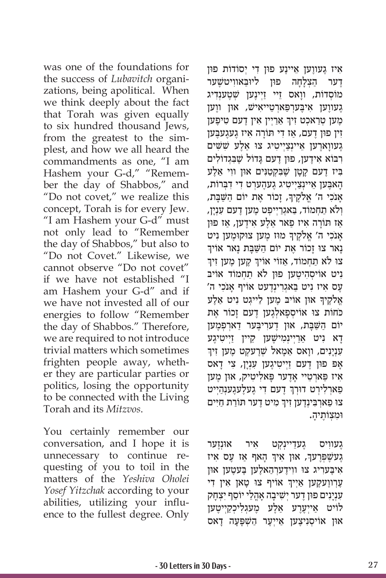was one of the foundations for the success of *Lubavitch* organizations, being apolitical. When we think deeply about the fact that Torah was given equally to six hundred thousand Jews, from the greatest to the simplest, and how we all heard the commandments as one, "I am Hashem your G-d," "Remember the day of Shabbos," and "Do not covet," we realize this concept, Torah is for every Jew. "I am Hashem your G-d" must not only lead to "Remember the day of Shabbos," but also to "Do not Covet." Likewise, we cannot observe "Do not covet" if we have not established "I am Hashem your G-d" and if we have not invested all of our energies to follow "Remember the day of Shabbos." Therefore, we are required to not introduce trivial matters which sometimes frighten people away, whether they are particular parties or politics, losing the opportunity to be connected with the Living Torah and its *Mitzvos*.

You certainly remember our conversation, and I hope it is unnecessary to continue requesting of you to toil in the matters of the *Yeshiva Oholei Yosef Yitzchak* according to your abilities, utilizing your influence to the fullest degree. Only

אִיז גֵעווֵען אֵיינֵע פוּן דִי יִסוֹדוֹת פוּן ַ דער הצלחה פוּז ליוּבּאוויטשַׁער מוֹסְדוֹת, ווַאס זֵיי זַיִינֵען שִׁטֲענִדִיג געווען איבערפּארטייאיש, און ווען ְטען טיפען אין אין דעם טיפ<mark>ָען</mark> ִז ּ ין פו ֶ ן ד ַ עם, א ִ ז ד ּ י ת ָוֹ ר ִה א ֶ יז ג ֶעג ֶּעבען ָגעווָארֶען אֵיינִצַיִיטִיג צו אַלֵע שָׁשִׁים ִר ּב ִ וֹ א א ֶיד ּ ען, פו ֶ ן ד ָּ עם גדוֹ ל שֶׁ ִּבְג ִדוֹ לים ַ בִּיז דָעם קַטַן שֶׁבַּקְטַנִּים אוּן ווִי אַלֵע ָהַאבָען אֵיינִצְיִיטִיג גֵעהֶערִט דִי דְבְּרוֹת, ָאָנֹכִי ה' אֱלֹקֶיךָּ, זָכוֹר אֶת יוֹם הַשַּׁבָּת, וְלֹא תַחְמוֹד, בַּאגְרַיִיפִט מֵען דֵעם עִנְיַן, אז תורה איז פאר אלע אידען, אז פון ָאָנֹכִי ה' אֱלֹקֶיךָ מוּז מֶען צוּקוּמֶען נִיט<br>נאר צוּ זכור את יוֹם השׁבּת נאר אוֹידִ נָאר צוּ זָכוֹר אֶת יוֹם הַשַּׁבָּת נָאר אוֹיךְ<br>צוּ לֹא תַחְמוֹד, אַזוֹי אוֹיךְ קֶען מֶען זִיךְ ֦֧֖֖֖֖֖֖֖֖ׅ֖ׅ֖ׅ֖ׅ֚֚֚֚֚֚֚֚֚֚֚֚֚֚֚֬֓֓֞֬֓֓֞֓֡֓֓֡֬֓֓֞֓֡֓֬֓֓֞֓֡֬֓֓֞֬֓֓֞֓֡֬֓֓֬֝֓֞֬֓֓֬֝֓֞֬֝֬ ניט אוֹיסָהיטֲען פוּן לֹא תחָמוֹד אוֹיב ַעֲס אִיז נִיט בַּאגִרְינְדֶעט אוֹיף אַנֹכִי ה' ָאָלֹקֶיךָ אוּן אוֹיבּ מֶעַן לֵייגְט נִיט אַלֶע ּ כּ ֹחוֹ ת צו ְ אוֹ יסָפ ְאלֶג ֶ ען ד ָ עם ז ֶ כוֹ ר את יוֹם הַשַּׁבָּת, אוּן דֵערִיבֵּער דַארִפְמַען ָדָא נִיט אַרַיִינְמִישֶׁעַן קֵיין זַיִיטִיגֶע עִנְיַנִים, ווַאס אַמַאל שִׁרֵעקט מֵען זִיך ֿאָפּ פוּן דָעם זַיְיטִיגָען עִנְיָן, צִי דָאס אִיז פַּארְטֵיי אַדֵער פַּאלִיטִיק, און מֵען ׇׅ֧֧֖֖֖֖֖֖֖֖֖֧֚֚֚֚֚֚֚֚֚֚֚֓֝֬<u>֓</u> ַפַארְלִירְט דוּרְךְ דֶעם דִי גֶעלֶעגֶענְהַיִיט ׅ֖֖֖֖֖֖֖ׅ֖֧ׅׅ֖֪֪ׅ֪֪ׅ֪֖֧֪ׅ֪֪֪֪֪֪֪֪֪֪֪֪ׅ֚֚֚֚֚֚֚֚֚֚֚֚֚֚֚֚֚֓֝֓֓֓֞֬֝֓֞֝֓֓֝֬֝֬֝֓֝֬֓֝֬֝֝֝֬֝֬ צוּ פַארְבִינְדֶען זִיךְ מִיט דֶער תּוֹרַת חַיִּים ּו ִמ ְצ ֶוֹ ת ָיה.

ָגעווִיס גֵעדֵיינִקְט אִיר אוּנְזֵער ֧֧֧֧֦֧֢ׅ֖֖֖֧֚֚֚֚֝֝֬<u>֚</u>  $\psi$ ָעשֶׁפְּרֶעךָ, און אִיךְ הָאף אַז עָס אִיז ֧֧֧֧֦֧֢ׅ֖֖֖֧֚֚֚֚֝֝֬<u>֚</u> אִיבָּערִיג צו ווִידָערִהַאלֶען בֵּעטֵען און ֧֧֧֖֖֖֖֖֖֧֚֚֚֚֚֚֚֚֝֝֬<u>֓</u> ֿ אױך צו טָאן אין די Wָרװוֶעקָען אַיִיך ַעְנִיָנִים פוּן דֶער יִשִׁיבָה אָהֲלֵי יוֹסֵף יִצְחָק לוֹיט אַיִעֲרֵע אַלֵע מֵעגִלִיכְקַיִיטֶען און אוֹיסִניצֵען אייִעַר השפּעה דאס